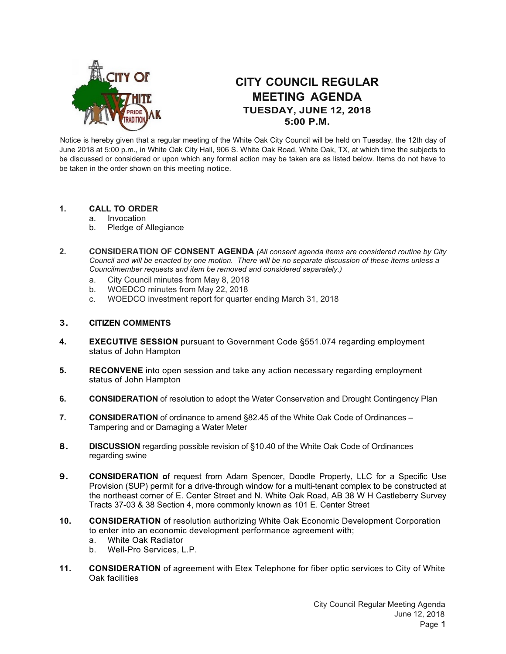

# **CITY COUNCIL REGULAR MEETING AGENDA TUESDAY, JUNE 12, 2018 5:00 P.M.**

Notice is hereby given that a regular meeting of the White Oak City Council will be held on Tuesday, the 12th day of June 2018 at 5:00 p.m., in White Oak City Hall, 906 S. White Oak Road, White Oak, TX, at which time the subjects to be discussed or considered or upon which any formal action may be taken are as listed below. Items do not have to be taken in the order shown on this meeting notice.

## **1. CALL TO ORDER**

- a. Invocation
- b. Pledge of Allegiance
- **2. CONSIDERATION OF CONSENT AGENDA** *(All consent agenda items are considered routine by City Council and will be enacted by one motion. There will be no separate discussion of these items unless a Councilmember requests and item be removed and considered separately.)*
	- a. City Council minutes from May 8, 2018
	- b. WOEDCO minutes from May 22, 2018
	- c. WOEDCO investment report for quarter ending March 31, 2018

#### **3. CITIZEN COMMENTS**

- **4. EXECUTIVE SESSION** pursuant to Government Code §551.074 regarding employment status of John Hampton
- **5. RECONVENE** into open session and take any action necessary regarding employment status of John Hampton
- **6. CONSIDERATION** of resolution to adopt the Water Conservation and Drought Contingency Plan
- **7. CONSIDERATION** of ordinance to amend §82.45 of the White Oak Code of Ordinances Tampering and or Damaging a Water Meter
- **8. DISCUSSION** regarding possible revision of §10.40 of the White Oak Code of Ordinances regarding swine
- **9. CONSIDERATION o**f request from Adam Spencer, Doodle Property, LLC for a Specific Use Provision (SUP) permit for a drive-through window for a multi-tenant complex to be constructed at the northeast corner of E. Center Street and N. White Oak Road, AB 38 W H Castleberry Survey Tracts 37-03 & 38 Section 4, more commonly known as 101 E. Center Street
- **10. CONSIDERATION** of resolution authorizing White Oak Economic Development Corporation to enter into an economic development performance agreement with;
	- a. White Oak Radiator
	- b. Well-Pro Services, L.P.
- **11. CONSIDERATION** of agreement with Etex Telephone for fiber optic services to City of White Oak facilities